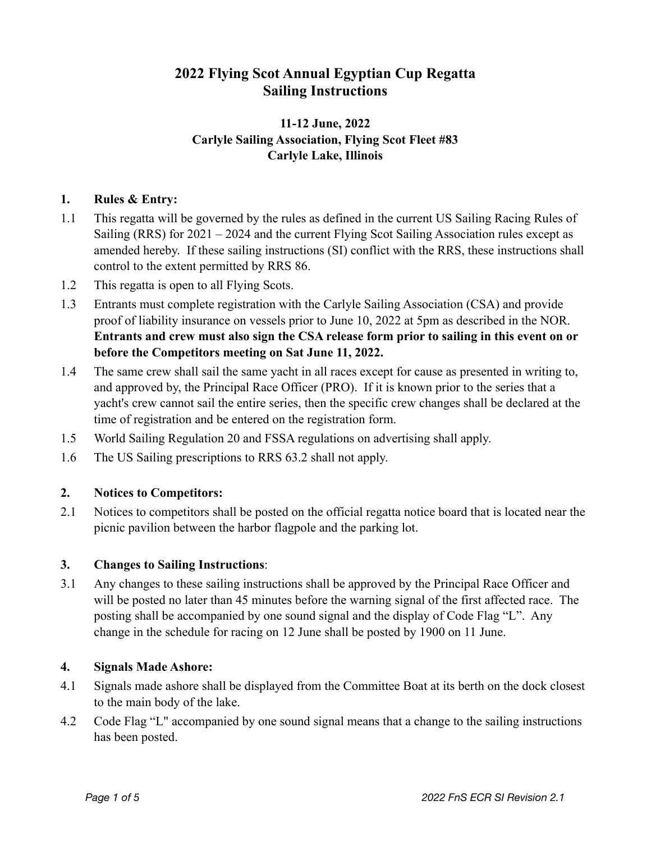# **2022 Flying Scot Annual Egyptian Cup Regatta Sailing Instructions**

# **11-12 June, 2022 Carlyle Sailing Association, Flying Scot Fleet #83 Carlyle Lake, Illinois**

# **1. Rules & Entry:**

- 1.1 This regatta will be governed by the rules as defined in the current US Sailing Racing Rules of Sailing (RRS) for 2021 – 2024 and the current Flying Scot Sailing Association rules except as amended hereby. If these sailing instructions (SI) conflict with the RRS, these instructions shall control to the extent permitted by RRS 86.
- 1.2 This regatta is open to all Flying Scots.
- 1.3 Entrants must complete registration with the Carlyle Sailing Association (CSA) and provide proof of liability insurance on vessels prior to June 10, 2022 at 5pm as described in the NOR. **Entrants and crew must also sign the CSA release form prior to sailing in this event on or before the Competitors meeting on Sat June 11, 2022.**
- 1.4 The same crew shall sail the same yacht in all races except for cause as presented in writing to, and approved by, the Principal Race Officer (PRO). If it is known prior to the series that a yacht's crew cannot sail the entire series, then the specific crew changes shall be declared at the time of registration and be entered on the registration form.
- 1.5 World Sailing Regulation 20 and FSSA regulations on advertising shall apply.
- 1.6 The US Sailing prescriptions to RRS 63.2 shall not apply.

#### **2. Notices to Competitors:**

2.1 Notices to competitors shall be posted on the official regatta notice board that is located near the picnic pavilion between the harbor flagpole and the parking lot.

#### **3. Changes to Sailing Instructions**:

3.1 Any changes to these sailing instructions shall be approved by the Principal Race Officer and will be posted no later than 45 minutes before the warning signal of the first affected race. The posting shall be accompanied by one sound signal and the display of Code Flag "L". Any change in the schedule for racing on 12 June shall be posted by 1900 on 11 June.

#### **4. Signals Made Ashore:**

- 4.1 Signals made ashore shall be displayed from the Committee Boat at its berth on the dock closest to the main body of the lake.
- 4.2 Code Flag "L" accompanied by one sound signal means that a change to the sailing instructions has been posted.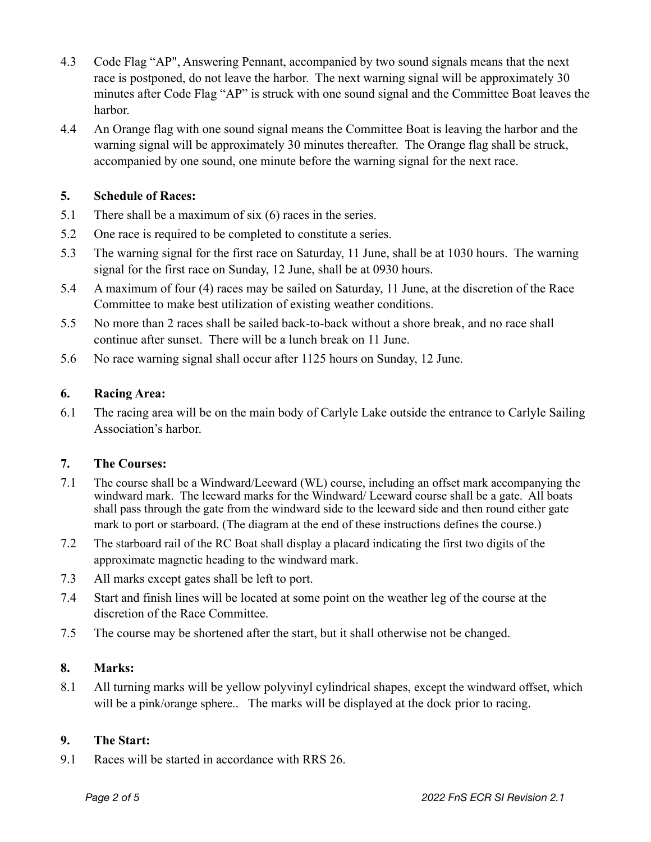- 4.3 Code Flag "AP", Answering Pennant, accompanied by two sound signals means that the next race is postponed, do not leave the harbor. The next warning signal will be approximately 30 minutes after Code Flag "AP" is struck with one sound signal and the Committee Boat leaves the harbor.
- 4.4 An Orange flag with one sound signal means the Committee Boat is leaving the harbor and the warning signal will be approximately 30 minutes thereafter. The Orange flag shall be struck, accompanied by one sound, one minute before the warning signal for the next race.

#### **5. Schedule of Races:**

- 5.1 There shall be a maximum of six (6) races in the series.
- 5.2 One race is required to be completed to constitute a series.
- 5.3 The warning signal for the first race on Saturday, 11 June, shall be at 1030 hours. The warning signal for the first race on Sunday, 12 June, shall be at 0930 hours.
- 5.4 A maximum of four (4) races may be sailed on Saturday, 11 June, at the discretion of the Race Committee to make best utilization of existing weather conditions.
- 5.5 No more than 2 races shall be sailed back-to-back without a shore break, and no race shall continue after sunset. There will be a lunch break on 11 June.
- 5.6 No race warning signal shall occur after 1125 hours on Sunday, 12 June.

# **6. Racing Area:**

6.1 The racing area will be on the main body of Carlyle Lake outside the entrance to Carlyle Sailing Association's harbor.

#### **7. The Courses:**

- 7.1 The course shall be a Windward/Leeward (WL) course, including an offset mark accompanying the windward mark. The leeward marks for the Windward/Leeward course shall be a gate. All boats shall pass through the gate from the windward side to the leeward side and then round either gate mark to port or starboard. (The diagram at the end of these instructions defines the course.)
- 7.2 The starboard rail of the RC Boat shall display a placard indicating the first two digits of the approximate magnetic heading to the windward mark.
- 7.3 All marks except gates shall be left to port.
- 7.4 Start and finish lines will be located at some point on the weather leg of the course at the discretion of the Race Committee.
- 7.5 The course may be shortened after the start, but it shall otherwise not be changed.

# **8. Marks:**

8.1 All turning marks will be yellow polyvinyl cylindrical shapes, except the windward offset, which will be a pink/orange sphere.. The marks will be displayed at the dock prior to racing.

#### **9. The Start:**

9.1 Races will be started in accordance with RRS 26.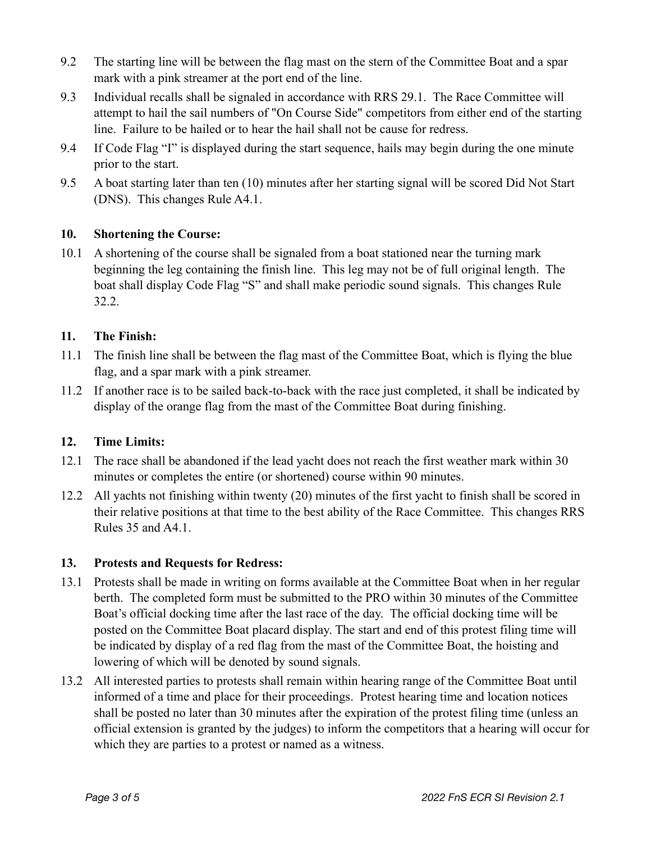- 9.2 The starting line will be between the flag mast on the stern of the Committee Boat and a spar mark with a pink streamer at the port end of the line.
- 9.3 Individual recalls shall be signaled in accordance with RRS 29.1. The Race Committee will attempt to hail the sail numbers of "On Course Side" competitors from either end of the starting line. Failure to be hailed or to hear the hail shall not be cause for redress.
- 9.4 If Code Flag "I" is displayed during the start sequence, hails may begin during the one minute prior to the start.
- 9.5 A boat starting later than ten (10) minutes after her starting signal will be scored Did Not Start (DNS). This changes Rule A4.1.

# **10. Shortening the Course:**

10.1 A shortening of the course shall be signaled from a boat stationed near the turning mark beginning the leg containing the finish line. This leg may not be of full original length. The boat shall display Code Flag "S" and shall make periodic sound signals. This changes Rule 32.2.

# **11. The Finish:**

- 11.1 The finish line shall be between the flag mast of the Committee Boat, which is flying the blue flag, and a spar mark with a pink streamer.
- 11.2 If another race is to be sailed back-to-back with the race just completed, it shall be indicated by display of the orange flag from the mast of the Committee Boat during finishing.

# **12. Time Limits:**

- 12.1 The race shall be abandoned if the lead yacht does not reach the first weather mark within 30 minutes or completes the entire (or shortened) course within 90 minutes.
- 12.2 All yachts not finishing within twenty (20) minutes of the first yacht to finish shall be scored in their relative positions at that time to the best ability of the Race Committee. This changes RRS Rules 35 and A4.1.

#### **13. Protests and Requests for Redress:**

- 13.1 Protests shall be made in writing on forms available at the Committee Boat when in her regular berth. The completed form must be submitted to the PRO within 30 minutes of the Committee Boat's official docking time after the last race of the day. The official docking time will be posted on the Committee Boat placard display. The start and end of this protest filing time will be indicated by display of a red flag from the mast of the Committee Boat, the hoisting and lowering of which will be denoted by sound signals.
- 13.2 All interested parties to protests shall remain within hearing range of the Committee Boat until informed of a time and place for their proceedings. Protest hearing time and location notices shall be posted no later than 30 minutes after the expiration of the protest filing time (unless an official extension is granted by the judges) to inform the competitors that a hearing will occur for which they are parties to a protest or named as a witness.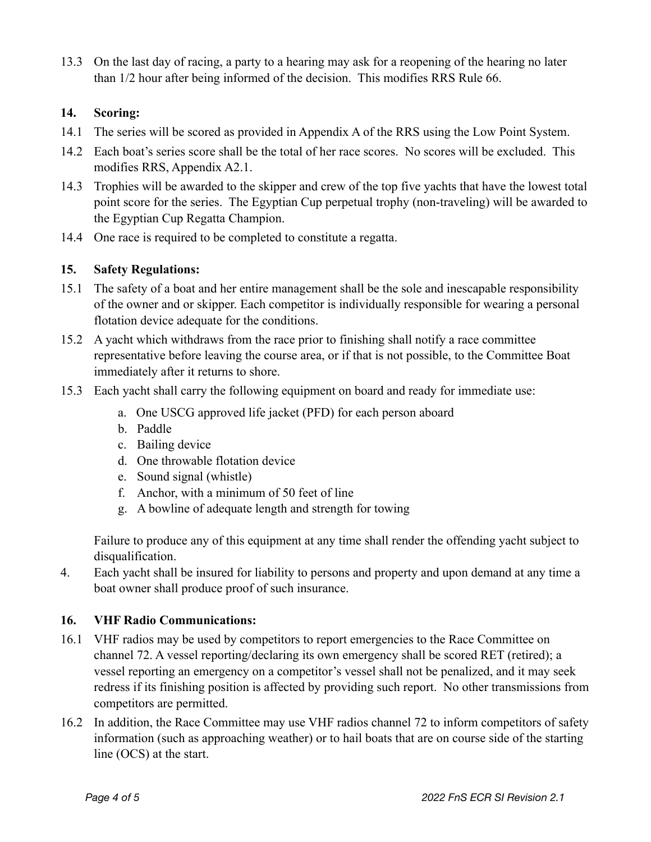13.3 On the last day of racing, a party to a hearing may ask for a reopening of the hearing no later than 1/2 hour after being informed of the decision. This modifies RRS Rule 66.

# **14. Scoring:**

- 14.1 The series will be scored as provided in Appendix A of the RRS using the Low Point System.
- 14.2 Each boat's series score shall be the total of her race scores. No scores will be excluded. This modifies RRS, Appendix A2.1.
- 14.3 Trophies will be awarded to the skipper and crew of the top five yachts that have the lowest total point score for the series. The Egyptian Cup perpetual trophy (non-traveling) will be awarded to the Egyptian Cup Regatta Champion.
- 14.4 One race is required to be completed to constitute a regatta.

# **15. Safety Regulations:**

- 15.1 The safety of a boat and her entire management shall be the sole and inescapable responsibility of the owner and or skipper. Each competitor is individually responsible for wearing a personal flotation device adequate for the conditions.
- 15.2 A yacht which withdraws from the race prior to finishing shall notify a race committee representative before leaving the course area, or if that is not possible, to the Committee Boat immediately after it returns to shore.
- 15.3 Each yacht shall carry the following equipment on board and ready for immediate use:
	- a. One USCG approved life jacket (PFD) for each person aboard
	- b. Paddle
	- c. Bailing device
	- d. One throwable flotation device
	- e. Sound signal (whistle)
	- f. Anchor, with a minimum of 50 feet of line
	- g. A bowline of adequate length and strength for towing

Failure to produce any of this equipment at any time shall render the offending yacht subject to disqualification.

4. Each yacht shall be insured for liability to persons and property and upon demand at any time a boat owner shall produce proof of such insurance.

#### **16. VHF Radio Communications:**

- 16.1 VHF radios may be used by competitors to report emergencies to the Race Committee on channel 72. A vessel reporting/declaring its own emergency shall be scored RET (retired); a vessel reporting an emergency on a competitor's vessel shall not be penalized, and it may seek redress if its finishing position is affected by providing such report. No other transmissions from competitors are permitted.
- 16.2 In addition, the Race Committee may use VHF radios channel 72 to inform competitors of safety information (such as approaching weather) or to hail boats that are on course side of the starting line (OCS) at the start.